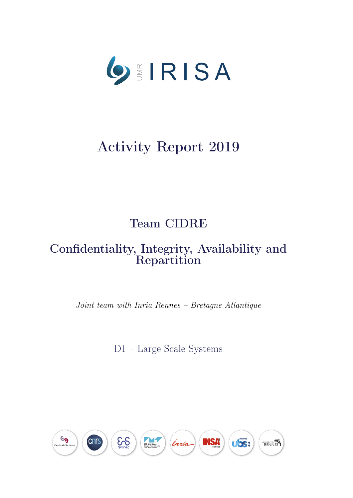

# Activity Report 2019

# Team CIDRE

# Confidentiality, Integrity, Availability and Repartition

Joint team with Inria Rennes – Bretagne Atlantique

D1 – Large Scale Systems

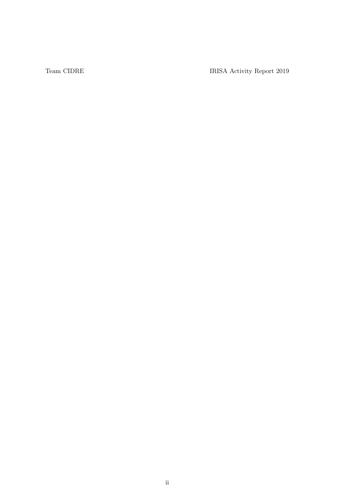Team CIDRE IRISA Activity Report 2019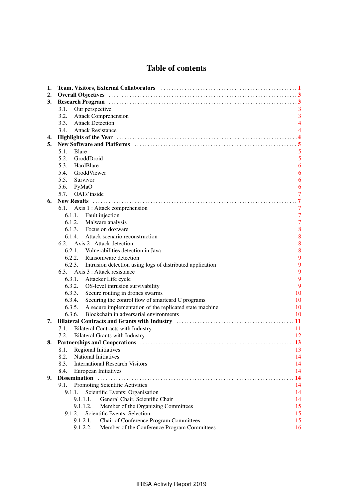# Table of contents

| 1. | Team, Visitors, External Collaborators (and the contract of the contract of the contract of the contract of the contract of the contract of the contract of the contract of the contract of the contract of the contract of th |                          |
|----|--------------------------------------------------------------------------------------------------------------------------------------------------------------------------------------------------------------------------------|--------------------------|
| 2. |                                                                                                                                                                                                                                |                          |
| 3. |                                                                                                                                                                                                                                |                          |
|    | Our perspective<br>3.1.                                                                                                                                                                                                        | 3                        |
|    | 3.2.<br><b>Attack Comprehension</b>                                                                                                                                                                                            | 3                        |
|    | <b>Attack Detection</b><br>3.3.                                                                                                                                                                                                | 4                        |
|    | 3.4.<br><b>Attack Resistance</b>                                                                                                                                                                                               | $\overline{\mathcal{A}}$ |
| 4. |                                                                                                                                                                                                                                |                          |
| 5. |                                                                                                                                                                                                                                |                          |
|    | 5.1.<br><b>Blare</b>                                                                                                                                                                                                           | 5                        |
|    | 5.2.<br>GroddDroid                                                                                                                                                                                                             | 5                        |
|    | 5.3.<br>HardBlare                                                                                                                                                                                                              | 6                        |
|    | 5.4.<br>GroddViewer                                                                                                                                                                                                            | 6                        |
|    | 5.5.<br>Survivor                                                                                                                                                                                                               | 6                        |
|    | 5.6.<br>PyMaO                                                                                                                                                                                                                  | 6                        |
|    | 5.7.<br>OATs'inside                                                                                                                                                                                                            | 7                        |
| 6. |                                                                                                                                                                                                                                | 7                        |
|    | Axis 1 : Attack comprehension<br>6.1.                                                                                                                                                                                          | 7                        |
|    | 6.1.1.<br>Fault injection                                                                                                                                                                                                      | $\overline{7}$           |
|    | 6.1.2. Malware analysis                                                                                                                                                                                                        | $\overline{7}$           |
|    | 6.1.3. Focus on doxware                                                                                                                                                                                                        | 8                        |
|    | 6.1.4.<br>Attack scenario reconstruction                                                                                                                                                                                       | 8                        |
|    | 6.2.<br>Axis 2 : Attack detection                                                                                                                                                                                              | 8                        |
|    | 6.2.1. Vulnerabilities detection in Java                                                                                                                                                                                       | 8                        |
|    | 6.2.2. Ransomware detection                                                                                                                                                                                                    | 9<br>9                   |
|    | 6.2.3. Intrusion detection using logs of distributed application                                                                                                                                                               | 9                        |
|    | Axis 3 : Attack resistance<br>6.3.                                                                                                                                                                                             | 9                        |
|    | 6.3.1. Attacker Life cycle<br>OS-level intrusion survivability<br>6.3.2.                                                                                                                                                       | 9                        |
|    | Secure routing in drones swarms<br>6.3.3.                                                                                                                                                                                      | 10                       |
|    | Securing the control flow of smartcard C programs<br>6.3.4.                                                                                                                                                                    | 10                       |
|    | A secure implementation of the replicated state machine<br>6.3.5.                                                                                                                                                              | 10                       |
|    | 6.3.6.<br>Blockchain in adversarial environments                                                                                                                                                                               | 10                       |
| 7. |                                                                                                                                                                                                                                |                          |
|    | <b>Bilateral Contracts with Industry</b><br>7.1.                                                                                                                                                                               | 11                       |
|    | <b>Bilateral Grants with Industry</b><br>7.2.                                                                                                                                                                                  | 12                       |
| 8. |                                                                                                                                                                                                                                |                          |
|    | 8.1. Regional Initiatives 13                                                                                                                                                                                                   |                          |
|    | 8.2.<br><b>National Initiatives</b>                                                                                                                                                                                            | 14                       |
|    | 8.3.<br><b>International Research Visitors</b>                                                                                                                                                                                 | 14                       |
|    | 8.4.<br>European Initiatives                                                                                                                                                                                                   | 14                       |
| 9. | <b>Dissemination</b>                                                                                                                                                                                                           | 14                       |
|    | 9.1.<br>Promoting Scientific Activities                                                                                                                                                                                        | 14                       |
|    | 9.1.1.<br>Scientific Events: Organisation                                                                                                                                                                                      | 14                       |
|    | General Chair, Scientific Chair<br>9.1.1.1.                                                                                                                                                                                    | 14                       |
|    | 9.1.1.2.<br>Member of the Organizing Committees                                                                                                                                                                                | 15                       |
|    | Scientific Events: Selection<br>9.1.2.                                                                                                                                                                                         | 15                       |
|    | 9.1.2.1.<br>Chair of Conference Program Committees                                                                                                                                                                             | 15                       |
|    | Member of the Conference Program Committees<br>9.1.2.2.                                                                                                                                                                        | 16                       |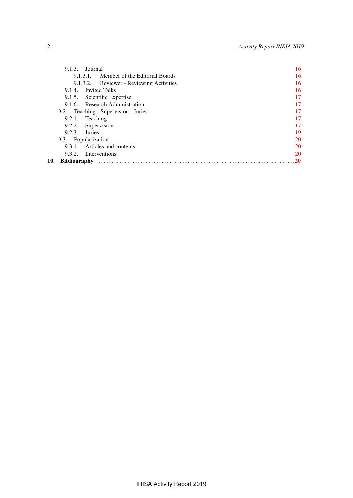| 9.1.3.<br>Journal                                  | 16 |
|----------------------------------------------------|----|
| Member of the Editorial Boards<br>9.1.3.1.         | 16 |
| <b>Reviewer - Reviewing Activities</b><br>9.1.3.2. | 16 |
| 9.1.4. Invited Talks                               | 16 |
| 9.1.5. Scientific Expertise                        | 17 |
| 9.1.6. Research Administration                     | 17 |
| 9.2. Teaching - Supervision - Juries               | 17 |
| Teaching<br>9.2.1.                                 | 17 |
| 9.2.2.<br>Supervision                              | 17 |
| Juries<br>9.2.3.                                   | 19 |
| 9.3. Popularization                                | 20 |
| 9.3.1. Articles and contents                       | 20 |
| 9.3.2. Interventions                               | 20 |
| 10.                                                | 20 |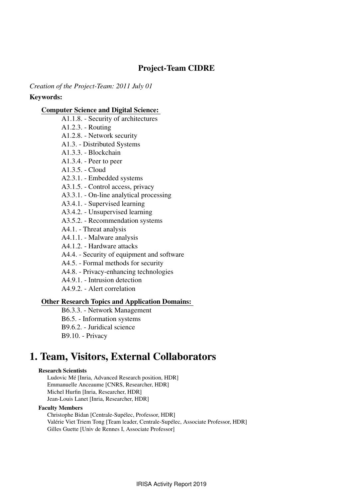# Project-Team CIDRE

*Creation of the Project-Team: 2011 July 01*

### Keywords:

### Computer Science and Digital Science:

- A1.1.8. Security of architectures
- A1.2.3. Routing
- A1.2.8. Network security
- A1.3. Distributed Systems
- A1.3.3. Blockchain
- A1.3.4. Peer to peer
- A1.3.5. Cloud
- A2.3.1. Embedded systems
- A3.1.5. Control access, privacy
- A3.3.1. On-line analytical processing
- A3.4.1. Supervised learning
- A3.4.2. Unsupervised learning
- A3.5.2. Recommendation systems
- A4.1. Threat analysis
- A4.1.1. Malware analysis
- A4.1.2. Hardware attacks
- A4.4. Security of equipment and software
- A4.5. Formal methods for security
- A4.8. Privacy-enhancing technologies
- A4.9.1. Intrusion detection
- A4.9.2. Alert correlation

### Other Research Topics and Application Domains:

- B6.3.3. Network Management
- B6.5. Information systems B9.6.2. - Juridical science B9.10. - Privacy

# 1. Team, Visitors, External Collaborators

### Research Scientists

Ludovic Mé [Inria, Advanced Research position, HDR] Emmanuelle Anceaume [CNRS, Researcher, HDR] Michel Hurfin [Inria, Researcher, HDR] Jean-Louis Lanet [Inria, Researcher, HDR]

### Faculty Members

Christophe Bidan [Centrale-Supélec, Professor, HDR] Valérie Viet Triem Tong [Team leader, Centrale-Supélec, Associate Professor, HDR] Gilles Guette [Univ de Rennes I, Associate Professor]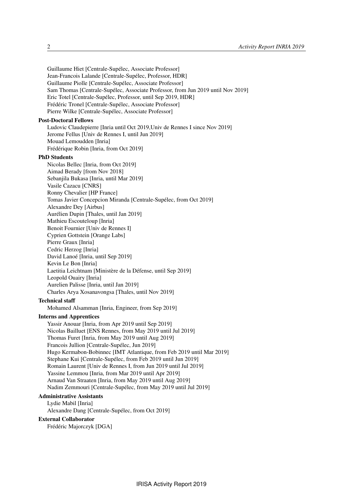Guillaume Hiet [Centrale-Supélec, Associate Professor] Jean-Francois Lalande [Centrale-Supélec, Professor, HDR] Guillaume Piolle [Centrale-Supélec, Associate Professor] Sam Thomas [Centrale-Supélec, Associate Professor, from Jun 2019 until Nov 2019] Eric Totel [Centrale-Supélec, Professor, until Sep 2019, HDR] Frédéric Tronel [Centrale-Supélec, Associate Professor] Pierre Wilke [Centrale-Supélec, Associate Professor] Post-Doctoral Fellows Ludovic Claudepierre [Inria until Oct 2019,Univ de Rennes I since Nov 2019] Jerome Fellus [Univ de Rennes I, until Jun 2019] Mouad Lemoudden [Inria] Frédérique Robin [Inria, from Oct 2019] PhD Students Nicolas Bellec [Inria, from Oct 2019] Aimad Berady [from Nov 2018] Sebanjila Bukasa [Inria, until Mar 2019] Vasile Cazacu [CNRS] Ronny Chevalier [HP France] Tomas Javier Concepcion Miranda [Centrale-Supélec, from Oct 2019] Alexandre Dey [Airbus] Aurélien Dupin [Thales, until Jan 2019] Mathieu Escouteloup [Inria] Benoit Fournier [Univ de Rennes I] Cyprien Gottstein [Orange Labs] Pierre Graux [Inria] Cedric Herzog [Inria] David Lanoé [Inria, until Sep 2019] Kevin Le Bon [Inria] Laetitia Leichtnam [Ministère de la Défense, until Sep 2019] Leopold Ouairy [Inria] Aurelien Palisse [Inria, until Jan 2019] Charles Arya Xosanavongsa [Thales, until Nov 2019] Technical staff Mohamed Alsamman [Inria, Engineer, from Sep 2019] Interns and Apprentices Yassir Anouar [Inria, from Apr 2019 until Sep 2019] Nicolas Bailluet [ENS Rennes, from May 2019 until Jul 2019] Thomas Furet [Inria, from May 2019 until Aug 2019] Francois Jullion [Centrale-Supélec, Jun 2019] Hugo Kermabon-Bobinnec [IMT Atlantique, from Feb 2019 until Mar 2019] Stephane Kui [Centrale-Supélec, from Feb 2019 until Jun 2019] Romain Laurent [Univ de Rennes I, from Jun 2019 until Jul 2019] Yassine Lemmou [Inria, from Mar 2019 until Apr 2019] Arnaud Van Straaten [Inria, from May 2019 until Aug 2019] Nadim Zemmouri [Centrale-Supélec, from May 2019 until Jul 2019] Administrative Assistants Lydie Mabil [Inria] Alexandre Dang [Centrale-Supélec, from Oct 2019] External Collaborator Frédéric Majorczyk [DGA]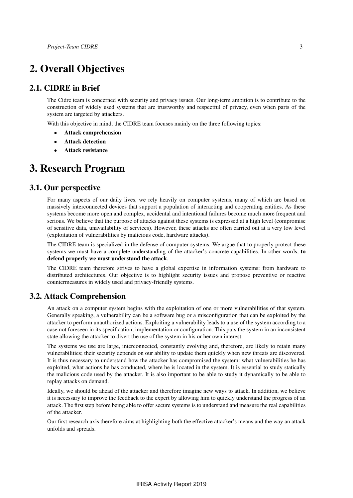# 2. Overall Objectives

### 2.1. CIDRE in Brief

The Cidre team is concerned with security and privacy issues. Our long-term ambition is to contribute to the construction of widely used systems that are trustworthy and respectful of privacy, even when parts of the system are targeted by attackers.

With this objective in mind, the CIDRE team focuses mainly on the three following topics:

- Attack comprehension
- Attack detection
- Attack resistance

# 3. Research Program

### 3.1. Our perspective

For many aspects of our daily lives, we rely heavily on computer systems, many of which are based on massively interconnected devices that support a population of interacting and cooperating entities. As these systems become more open and complex, accidental and intentional failures become much more frequent and serious. We believe that the purpose of attacks against these systems is expressed at a high level (compromise of sensitive data, unavailability of services). However, these attacks are often carried out at a very low level (exploitation of vulnerabilities by malicious code, hardware attacks).

The CIDRE team is specialized in the defense of computer systems. We argue that to properly protect these systems we must have a complete understanding of the attacker's concrete capabilities. In other words, to defend properly we must understand the attack.

The CIDRE team therefore strives to have a global expertise in information systems: from hardware to distributed architectures. Our objective is to highlight security issues and propose preventive or reactive countermeasures in widely used and privacy-friendly systems.

### 3.2. Attack Comprehension

An attack on a computer system begins with the exploitation of one or more vulnerabilities of that system. Generally speaking, a vulnerability can be a software bug or a misconfiguration that can be exploited by the attacker to perform unauthorized actions. Exploiting a vulnerability leads to a use of the system according to a case not foreseen in its specification, implementation or configuration. This puts the system in an inconsistent state allowing the attacker to divert the use of the system in his or her own interest.

The systems we use are large, interconnected, constantly evolving and, therefore, are likely to retain many vulnerabilities; their security depends on our ability to update them quickly when new threats are discovered. It is thus necessary to understand how the attacker has compromised the system: what vulnerabilities he has exploited, what actions he has conducted, where he is located in the system. It is essential to study statically the malicious code used by the attacker. It is also important to be able to study it dynamically to be able to replay attacks on demand.

Ideally, we should be ahead of the attacker and therefore imagine new ways to attack. In addition, we believe it is necessary to improve the feedback to the expert by allowing him to quickly understand the progress of an attack. The first step before being able to offer secure systems is to understand and measure the real capabilities of the attacker.

Our first research axis therefore aims at highlighting both the effective attacker's means and the way an attack unfolds and spreads.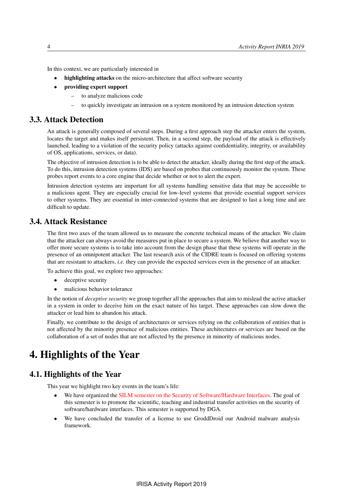In this context, we are particularly interested in

- highlighting attacks on the micro-architecture that affect software security
- providing expert support
	- to analyze malicious code
	- to quickly investigate an intrusion on a system monitored by an intrusion detection system

## 3.3. Attack Detection

An attack is generally composed of several steps. During a first approach step the attacker enters the system, locates the target and makes itself persistent. Then, in a second step, the payload of the attack is effectively launched, leading to a violation of the security policy (attacks against confidentiality, integrity, or availability of OS, applications, services, or data).

The objective of intrusion detection is to be able to detect the attacker, ideally during the first step of the attack. To do this, intrusion detection systems (IDS) are based on probes that continuously monitor the system. These probes report events to a core engine that decide whether or not to alert the expert.

Intrusion detection systems are important for all systems handling sensitive data that may be accessible to a malicious agent. They are especially crucial for low-level systems that provide essential support services to other systems. They are essential in inter-connected systems that are designed to last a long time and are difficult to update.

# 3.4. Attack Resistance

The first two axes of the team allowed us to measure the concrete technical means of the attacker. We claim that the attacker can always avoid the measures put in place to secure a system. We believe that another way to offer more secure systems is to take into account from the design phase that these systems will operate in the presence of an omnipotent attacker. The last research axis of the CIDRE team is focused on offering systems that are resistant to attackers, *i.e.* they can provide the expected services even in the presence of an attacker.

To achieve this goal, we explore two approaches:

- deceptive security
- malicious behavior tolerance

In the notion of *deceptive security* we group together all the approaches that aim to mislead the active attacker in a system in order to deceive him on the exact nature of his target. These approaches can slow down the attacker or lead him to abandon his attack.

Finally, we contribute to the design of architectures or services relying on the collaboration of entities that is not affected by the minority presence of malicious entities. These architectures or services are based on the collaboration of a set of nodes that are not affected by the presence in minority of malicious nodes.

# 4. Highlights of the Year

# 4.1. Highlights of the Year

This year we highlight two key events in the team's life:

- We have organized the SILM semester on the Security of Software/Hardware Interfaces. The goal of this semester is to promote the scientific, teaching and industrial transfer activities on the security of software/hardware interfaces. This semester is supported by DGA.
- We have concluded the transfer of a license to use GroddDroid our Android malware analysis framework.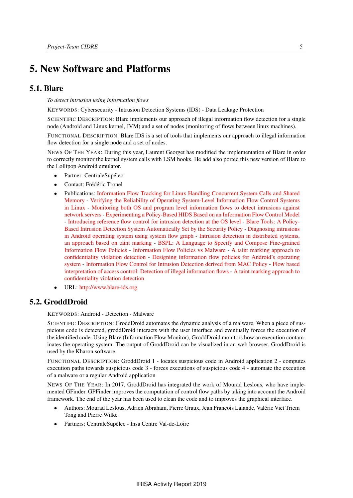# 5. New Software and Platforms

# 5.1. Blare

### *To detect intrusion using information flows*

KEYWORDS: Cybersecurity - Intrusion Detection Systems (IDS) - Data Leakage Protection

SCIENTIFIC DESCRIPTION: Blare implements our approach of illegal information flow detection for a single node (Android and Linux kernel, JVM) and a set of nodes (monitoring of flows between linux machines).

FUNCTIONAL DESCRIPTION: Blare IDS is a set of tools that implements our approach to illegal information flow detection for a single node and a set of nodes.

NEWS OF THE YEAR: During this year, Laurent Georget has modified the implementation of Blare in order to correctly monitor the kernel system calls with LSM hooks. He add also ported this new version of Blare to the Lollipop Android emulator.

- Partner: CentraleSupélec
- Contact: Frédéric Tronel
- Publications: Information Flow Tracking for Linux Handling Concurrent System Calls and Shared Memory - Verifying the Reliability of Operating System-Level Information Flow Control Systems in Linux - Monitoring both OS and program level information flows to detect intrusions against network servers - Experimenting a Policy-Based HIDS Based on an Information Flow Control Model - Introducing reference flow control for intrusion detection at the OS level - Blare Tools: A Policy-Based Intrusion Detection System Automatically Set by the Security Policy - Diagnosing intrusions in Android operating system using system flow graph - Intrusion detection in distributed systems, an approach based on taint marking - BSPL: A Language to Specify and Compose Fine-grained Information Flow Policies - Information Flow Policies vs Malware - A taint marking approach to confidentiality violation detection - Designing information flow policies for Android's operating system - Information Flow Control for Intrusion Detection derived from MAC Policy - Flow based interpretation of access control: Detection of illegal information flows - A taint marking approach to confidentiality violation detection
- URL: http://www.blare-ids.org

### 5.2. GroddDroid

KEYWORDS: Android - Detection - Malware

SCIENTIFIC DESCRIPTION: GroddDroid automates the dynamic analysis of a malware. When a piece of suspicious code is detected, groddDroid interacts with the user interface and eventually forces the execution of the identified code. Using Blare (Information Flow Monitor), GroddDroid monitors how an execution contaminates the operating system. The output of GroddDroid can be visualized in an web browser. GroddDroid is used by the Kharon software.

FUNCTIONAL DESCRIPTION: GroddDroid 1 - locates suspicious code in Android application 2 - computes execution paths towards suspicious code 3 - forces executions of suspicious code 4 - automate the execution of a malware or a regular Android application

NEWS OF THE YEAR: In 2017, GroddDroid has integrated the work of Mourad Leslous, who have implemented GFinder. GPFinder improves the computation of control flow paths by taking into account the Android framework. The end of the year has been used to clean the code and to improves the graphical interface.

- Authors: Mourad Leslous, Adrien Abraham, Pierre Graux, Jean François Lalande, Valérie Viet Triem Tong and Pierre Wilke
- Partners: CentraleSupélec Insa Centre Val-de-Loire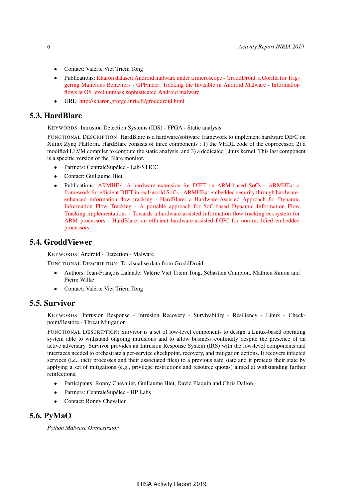- Contact: Valérie Viet Triem Tong
- Publications: Kharon dataset: Android malware under a microscope GroddDroid: a Gorilla for Triggering Malicious Behaviors - GPFinder: Tracking the Invisible in Android Malware - Information flows at OS level unmask sophisticated Android malware
- URL: http://kharon.gforge.inria.fr/grodddroid.html

# 5.3. HardBlare

KEYWORDS: Intrusion Detection Systems (IDS) - FPGA - Static analysis

FUNCTIONAL DESCRIPTION: HardBlare is a hardware/software framework to implement hardware DIFC on Xilinx Zynq Platform. HardBlare consists of three components : 1) the VHDL code of the coprocessor, 2) a modified LLVM compiler to compute the static analysis, and 3) a dedicated Linux kernel. This last component is a specific version of the Blare monitor.

- Partners: CentraleSupélec Lab-STICC
- Contact: Guillaume Hiet
- Publications: ARMHEx: A hardware extension for DIFT on ARM-based SoCs ARMHEx: a framework for efficient DIFT in real-world SoCs - ARMHEx: embedded security through hardwareenhanced information flow tracking - HardBlare: a Hardware-Assisted Approach for Dynamic Information Flow Tracking - A portable approach for SoC-based Dynamic Information Flow Tracking implementations - Towards a hardware-assisted information flow tracking ecosystem for ARM processors - HardBlare: an efficient hardware-assisted DIFC for non-modified embedded processors

# 5.4. GroddViewer

KEYWORDS: Android - Detection - Malware

FUNCTIONAL DESCRIPTION: To visualise data from GroddDroid

- Authors: Jean-François Lalande, Valérie Viet Triem Tong, Sébastien Campion, Mathieu Simon and Pierre Wilke
- Contact: Valérie Viet Triem Tong

## 5.5. Survivor

KEYWORDS: Intrusion Response - Intrusion Recovery - Survivability - Resiliency - Linux - Checkpoint/Restore - Threat Mitigation

FUNCTIONAL DESCRIPTION: Survivor is a set of low-level components to design a Linux-based operating system able to withstand ongoing intrusions and to allow business continuity despite the presence of an active adversary. Survivor provides an Intrusion Response System (IRS) with the low-level components and interfaces needed to orchestrate a per-service checkpoint, recovery, and mitigation actions. It recovers infected services (i.e., their processes and their associated files) to a previous safe state and it protects their state by applying a set of mitigations (e.g., privilege restrictions and resource quotas) aimed at withstanding further reinfections.

- Participants: Ronny Chevalier, Guillaume Hiet, David Plaquin and Chris Dalton
- Partners: CentraleSupélec HP Labs
- Contact: Ronny Chevalier

# 5.6. PyMaO

*Python Malware Orchestrator*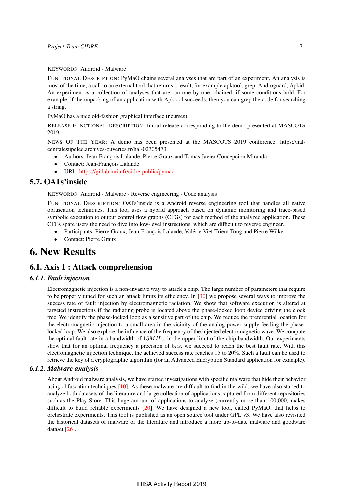KEYWORDS: Android - Malware

FUNCTIONAL DESCRIPTION: PyMaO chains several analyses that are part of an experiment. An analysis is most of the time, a call to an external tool that returns a result, for example apktool, grep, Androguard, Apkid. An experiment is a collection of analyses that are run one by one, chained, if some conditions hold. For example, if the unpacking of an application with Apktool succeeds, then you can grep the code for searching a string.

PyMaO has a nice old-fashion graphical interface (ncurses).

RELEASE FUNCTIONAL DESCRIPTION: Initial release corresponding to the demo presented at MASCOTS 2019.

NEWS OF THE YEAR: A demo has been presented at the MASCOTS 2019 conference: https://halcentralesupelec.archives-ouvertes.fr/hal-02305473

- Authors: Jean-François Lalande, Pierre Graux and Tomas Javier Concepcion Miranda
- Contact: Jean-François Lalande
- URL: https://gitlab.inria.fr/cidre-public/pymao

# 5.7. OATs'inside

KEYWORDS: Android - Malware - Reverse engineering - Code analysis

FUNCTIONAL DESCRIPTION: OATs'inside is a Android reverse engineering tool that handles all native obfuscation techniques. This tool uses a hybrid approach based on dynamic monitoring and trace-based symbolic execution to output control flow graphs (CFGs) for each method of the analyzed application. These CFGs spare users the need to dive into low-level instructions, which are difficult to reverse engineer.

- Participants: Pierre Graux, Jean-François Lalande, Valérie Viet Triem Tong and Pierre Wilke
- Contact: Pierre Graux

# 6. New Results

## 6.1. Axis 1 : Attack comprehension

### *6.1.1. Fault injection*

Electromagnetic injection is a non-invasive way to attack a chip. The large number of parameters that require to be properly tuned for such an attack limits its efficiency. In [30] we propose several ways to improve the success rate of fault injection by electromagnetic radiation. We show that software execution is altered at targeted instructions if the radiating probe is located above the phase-locked loop device driving the clock tree. We identify the phase-locked loop as a sensitive part of the chip. We reduce the preferential location for the electromagnetic injection to a small area in the vicinity of the analog power supply feeding the phaselocked loop. We also explore the influence of the frequency of the injected electromagnetic wave. We compute the optimal fault rate in a bandwidth of  $15MHz$ , in the upper limit of the chip bandwidth. Our experiments show that for an optimal frequency a precision of 5ns, we succeed to reach the best fault rate. With this electromagnetic injection technique, the achieved success rate reaches 15 to 20%. Such a fault can be used to retrieve the key of a cryptographic algorithm (for an Advanced Encryption Standard application for example).

### *6.1.2. Malware analysis*

About Android malware analysis, we have started investigations with specific malware that hide their behavior using obfuscation techniques  $[10]$ . As these malware are difficult to find in the wild, we have also started to analyze both datasets of the literature and large collection of applications captured from different repositories such as the Play Store. This huge amount of applications to analyze (currently more than 100,000) makes difficult to build reliable experiments [20]. We have designed a new tool, called PyMaO, that helps to orchestrate experiments. This tool is published as an open source tool under GPL v3. We have also revisited the historical datasets of malware of the literature and introduce a more up-to-date malware and goodware dataset [26].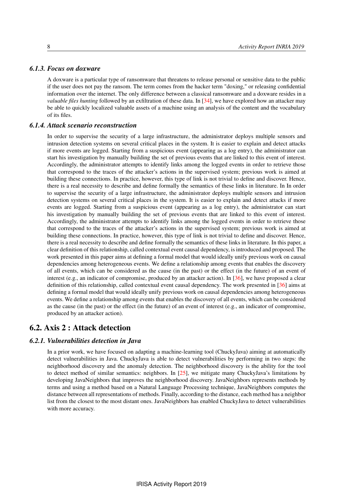### *6.1.3. Focus on doxware*

A doxware is a particular type of ransomware that threatens to release personal or sensitive data to the public if the user does not pay the ransom. The term comes from the hacker term "doxing," or releasing confidential information over the internet. The only difference between a classical ransomware and a doxware resides in a *valuable files hunting* followed by an exfiltration of these data. In [34], we have explored how an attacker may be able to quickly localized valuable assets of a machine using an analysis of the content and the vocabulary of its files.

### *6.1.4. Attack scenario reconstruction*

In order to supervise the security of a large infrastructure, the administrator deploys multiple sensors and intrusion detection systems on several critical places in the system. It is easier to explain and detect attacks if more events are logged. Starting from a suspicious event (appearing as a log entry), the administrator can start his investigation by manually building the set of previous events that are linked to this event of interest. Accordingly, the administrator attempts to identify links among the logged events in order to retrieve those that correspond to the traces of the attacker's actions in the supervised system; previous work is aimed at building these connections. In practice, however, this type of link is not trivial to define and discover. Hence, there is a real necessity to describe and define formally the semantics of these links in literature. In In order to supervise the security of a large infrastructure, the administrator deploys multiple sensors and intrusion detection systems on several critical places in the system. It is easier to explain and detect attacks if more events are logged. Starting from a suspicious event (appearing as a log entry), the administrator can start his investigation by manually building the set of previous events that are linked to this event of interest. Accordingly, the administrator attempts to identify links among the logged events in order to retrieve those that correspond to the traces of the attacker's actions in the supervised system; previous work is aimed at building these connections. In practice, however, this type of link is not trivial to define and discover. Hence, there is a real necessity to describe and define formally the semantics of these links in literature. In this paper, a clear definition of this relationship, called contextual event causal dependency, is introduced and proposed. The work presented in this paper aims at defining a formal model that would ideally unify previous work on causal dependencies among heterogeneous events. We define a relationship among events that enables the discovery of all events, which can be considered as the cause (in the past) or the effect (in the future) of an event of interest (e.g., an indicator of compromise, produced by an attacker action). In [36], we have proposed a clear definition of this relationship, called contextual event causal dependency. The work presented in [36] aims at defining a formal model that would ideally unify previous work on causal dependencies among heterogeneous events. We define a relationship among events that enables the discovery of all events, which can be considered as the cause (in the past) or the effect (in the future) of an event of interest (e.g., an indicator of compromise, produced by an attacker action).

### 6.2. Axis 2 : Attack detection

### *6.2.1. Vulnerabilities detection in Java*

In a prior work, we have focused on adapting a machine-learning tool (ChuckyJava) aiming at automatically detect vulnerabilities in Java. ChuckyJava is able to detect vulnerabilities by performing in two steps: the neighborhood discovery and the anomaly detection. The neighborhood discovery is the ability for the tool to detect method of similar semantics: neighbors. In [25], we mitigate many ChuckyJava's limitations by developing JavaNeighbors that improves the neighborhood discovery. JavaNeighbors represents methods by terms and using a method based on a Natural Language Processing technique, JavaNeighbors computes the distance between all representations of methods. Finally, according to the distance, each method has a neighbor list from the closest to the most distant ones. JavaNeighbors has enabled ChuckyJava to detect vulnerabilities with more accuracy.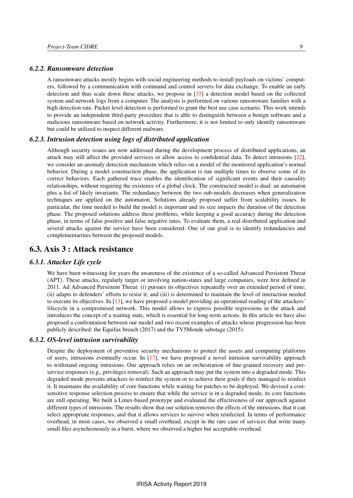### *6.2.2. Ransomware detection*

A ransomware attacks mostly begins with social engineering methods to install payloads on victims' computers, followed by a communication with command and control servers for data exchange. To enable an early detection and thus scale down these attacks, we propose in [35] a detection model based on the collected system and network logs from a computer. The analysis is performed on various ransomware families with a high detection rate. Packet level detection is performed to grant the best use case scenario. This work intends to provide an independent third-party procedure that is able to distinguish between a benign software and a malicious ransomware based on network activity. Furthermore, it is not limited to only identify ransomware but could be utilized to inspect different malware.

### *6.2.3. Intrusion detection using logs of distributed application*

Although security issues are now addressed during the development process of distributed applications, an attack may still affect the provided services or allow access to confidential data. To detect intrusions [22], we consider an anomaly detection mechanism which relies on a model of the monitored application's normal behavior. During a model construction phase, the application is run multiple times to observe some of its correct behaviors. Each gathered trace enables the identification of significant events and their causality relationships, without requiring the existence of a global clock. The constructed model is dual: an automaton plus a list of likely invariants. The redundancy between the two sub-models decreases when generalization techniques are applied on the automaton. Solutions already proposed suffer from scalability issues. In particular, the time needed to build the model is important and its size impacts the duration of the detection phase. The proposed solutions address these problems, while keeping a good accuracy during the detection phase, in terms of false positive and false negative rates. To evaluate them, a real distributed application and several attacks against the service have been considered. One of our goal is to identify redundancies and complementarities between the proposed models.

### 6.3. Axis 3 : Attack resistance

### *6.3.1. Attacker Life cycle*

We have been witnessing for years the awareness of the existence of a so-called Advanced Persistent Threat (APT). These attacks, regularly target or involving nation-states and large companies, were first defined in 2011. Ad Advanced Persistent Threat: (i) pursues its objectives repeatedly over an extended period of time; (ii) adapts to defenders' efforts to resist it; and (iii) is determined to maintain the level of interaction needed to execute its objectives. In  $[13]$ , we have proposed a model providing an operational reading of the attackers' lifecycle in a compromised network. This model allows to express possible regressions in the attack and introduces the concept of a waiting state, which is essential for long-term actions. In this article we have also proposed a confrontation between our model and two recent examples of attacks whose progression has been publicly described: the Equifax breach (2017) and the TV5Monde sabotage (2015).

### *6.3.2. OS-level intrusion survivability*

Despite the deployment of preventive security mechanisms to protect the assets and computing platforms of users, intrusions eventually occur. In [17], we have proposed a novel intrusion survivability approach to withstand ongoing intrusions. Our approach relies on an orchestration of fine-grained recovery and perservice responses (e.g., privileges removal). Such an approach may put the system into a degraded mode. This degraded mode prevents attackers to reinfect the system or to achieve their goals if they managed to reinfect it. It maintains the availability of core functions while waiting for patches to be deployed. We devised a costsensitive response selection process to ensure that while the service is in a degraded mode, its core functions are still operating. We built a Linux-based prototype and evaluated the effectiveness of our approach against different types of intrusions. The results show that our solution removes the effects of the intrusions, that it can select appropriate responses, and that it allows services to survive when reinfected. In terms of performance overhead, in most cases, we observed a small overhead, except in the rare case of services that write many small files asynchronously in a burst, where we observed a higher but acceptable overhead.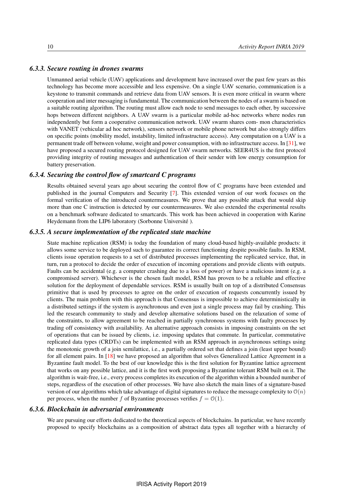#### *6.3.3. Secure routing in drones swarms*

Unmanned aerial vehicle (UAV) applications and development have increased over the past few years as this technology has become more accessible and less expensive. On a single UAV scenario, communication is a keystone to transmit commands and retrieve data from UAV sensors. It is even more critical in swarm where cooperation and inter messaging is fundamental. The communication between the nodes of a swarm is based on a suitable routing algorithm. The routing must allow each node to send messages to each other, by successive hops between different neighbors. A UAV swarm is a particular mobile ad-hoc networks where nodes run independently but form a cooperative communication network. UAV swarm shares com- mon characteristics with VANET (vehicular ad hoc network), sensors network or mobile phone network but also strongly differs on specific points (mobility model, instability, limited infrastructure access). Any computation on a UAV is a permanent trade off between volume, weight and power consumption, with no infrastructure access. In [31], we have proposed a secured routing protocol designed for UAV swarm networks. SEER4US is the first protocol providing integrity of routing messages and authentication of their sender with low energy consumption for battery preservation.

### *6.3.4. Securing the control flow of smartcard C programs*

Results obtained several years ago about securing the control flow of C programs have been extended and published in the journal Computers and Security [7]. This extended version of our work focuses on the formal verification of the introduced countermeasures. We prove that any possible attack that would skip more than one C instruction is detected by our countermeasures. We also extended the experimental results on a benchmark software dedicated to smartcards. This work has been achieved in cooperation with Karine Heydemann from the LIP6 laboratory (Sorbonne Université ).

### *6.3.5. A secure implementation of the replicated state machine*

State machine replication (RSM) is today the foundation of many cloud-based highly-available products: it allows some service to be deployed such to guarantee its correct functioning despite possible faults. In RSM, clients issue operation requests to a set of distributed processes implementing the replicated service, that, in turn, run a protocol to decide the order of execution of incoming operations and provide clients with outputs. Faults can be accidental (e.g. a computer crashing due to a loss of power) or have a malicious intent (e.g. a compromised server). Whichever is the chosen fault model, RSM has proven to be a reliable and effective solution for the deployment of dependable services. RSM is usually built on top of a distributed Consensus primitive that is used by processes to agree on the order of execution of requests concurrently issued by clients. The main problem with this approach is that Consensus is impossible to achieve deterministically in a distributed settings if the system is asynchronous and even just a single process may fail by crashing. This led the research community to study and develop alternative solutions based on the relaxation of some of the constraints, to allow agreement to be reached in partially synchronous systems with faulty processes by trading off consistency with availability. An alternative approach consists in imposing constraints on the set of operations that can be issued by clients, i.e. imposing updates that commute. In particular, commutative replicated data types (CRDTs) can be implemented with an RSM approach in asynchronous settings using the monotonic growth of a join semilattice, i.e., a partially ordered set that defines a join (least upper bound) for all element pairs. In [18] we have proposed an algorithm that solves Generalized Lattice Agreement in a Byzantine fault model. To the best of our knowledge this is the first solution for Byzantine lattice agreement that works on any possible lattice, and it is the first work proposing a Byzantine tolerant RSM built on it. The algorithm is wait-free, i.e., every process completes its execution of the algorithm within a bounded number of steps, regardless of the execution of other processes. We have also sketch the main lines of a signature-based version of our algorithms which take advantage of digital signatures to reduce the message complexity to  $\mathcal{O}(n)$ per process, when the number f of Byzantine processes verifies  $f = \mathcal{O}(1)$ .

### *6.3.6. Blockchain in adversarial environments*

We are pursuing our efforts dedicated to the theoretical aspects of blockchains. In particular, we have recently proposed to specify blockchains as a composition of abstract data types all together with a hierarchy of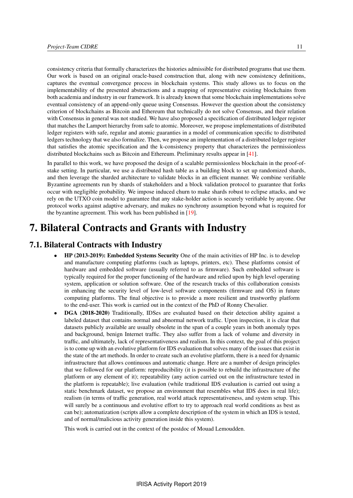consistency criteria that formally characterizes the histories admissible for distributed programs that use them. Our work is based on an original oracle-based construction that, along with new consistency definitions, captures the eventual convergence process in blockchain systems. This study allows us to focus on the implementability of the presented abstractions and a mapping of representative existing blockchains from both academia and industry in our framework. It is already known that some blockchain implementations solve eventual consistency of an append-only queue using Consensus. However the question about the consistency criterion of blockchains as Bitcoin and Ethereum that technically do not solve Consensus, and their relation with Consensus in general was not studied. We have also proposed a specification of distributed ledger register that matches the Lamport hierarchy from safe to atomic. Moreover, we propose implementations of distributed ledger registers with safe, regular and atomic guaranties in a model of communication specific to distributed ledgers technology that we also formalize. Then, we propose an implementation of a distributed ledger register that satisfies the atomic specification and the k-consistency property that characterizes the permissionless distributed blockchains such as Bitcoin and Ethereum. Preliminary results appear in [41].

In parallel to this work, we have proposed the design of a scalable permissionless blockchain in the proof-ofstake setting. In particular, we use a distributed hash table as a building block to set up randomized shards, and then leverage the sharded architecture to validate blocks in an efficient manner. We combine verifiable Byzantine agreements run by shards of stakeholders and a block validation protocol to guarantee that forks occur with negligible probability. We impose induced churn to make shards robust to eclipse attacks, and we rely on the UTXO coin model to guarantee that any stake-holder action is securely verifiable by anyone. Our protocol works against adaptive adversary, and makes no synchrony assumption beyond what is required for the byzantine agreement. This work has been published in [19].

# 7. Bilateral Contracts and Grants with Industry

# 7.1. Bilateral Contracts with Industry

- HP (2013-2019): Embedded Systems Security One of the main activities of HP Inc. is to develop and manufacture computing platforms (such as laptops, printers, etc). These platforms consist of hardware and embedded software (usually referred to as firmware). Such embedded software is typically required for the proper functioning of the hardware and relied upon by high level operating system, application or solution software. One of the research tracks of this collaboration consists in enhancing the security level of low-level software components (firmware and OS) in future computing platforms. The final objective is to provide a more resilient and trustworthy platform to the end-user. This work is carried out in the context of the PhD of Ronny Chevalier.
- DGA (2018-2020) Traditionally, IDSes are evaluated based on their detection ability against a labeled dataset that contains normal and abnormal network traffic. Upon inspection, it is clear that datasets publicly available are usually obsolete in the span of a couple years in both anomaly types and background, benign Internet traffic. They also suffer from a lack of volume and diversity in traffic, and ultimately, lack of representativeness and realism. In this context, the goal of this project is to come up with an evolutive platform for IDS evaluation that solves many of the issues that exist in the state of the art methods. In order to create such an evolutive platform, there is a need for dynamic infrastructure that allows continuous and automatic change. Here are a number of design principles that we followed for our platform: reproducibility (it is possible to rebuild the infrastructure of the platform or any element of it); repeatability (any action carried out on the infrastructure tested in the platform is repeatable); live evaluation (while traditional IDS evaluation is carried out using a static benchmark dataset, we propose an environment that resembles what IDS does in real life); realism (in terms of traffic generation, real world attack representativeness, and system setup. This will surely be a continuous and evolutive effort to try to approach real world conditions as best as can be); automatization (scripts allow a complete description of the system in which an IDS is tested, and of normal/malicious activity generation inside this system).

This work is carried out in the context of the postdoc of Mouad Lemoudden.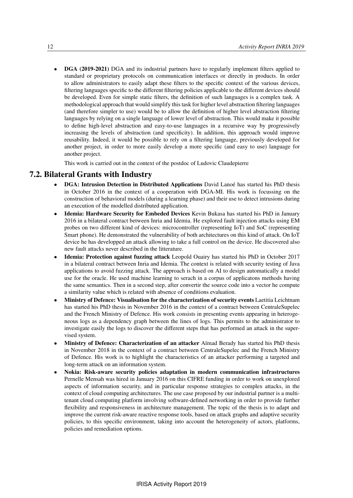• DGA (2019-2021) DGA and its industrial partners have to regularly implement filters applied to standard or proprietary protocols on communication interfaces or directly in products. In order to allow administrators to easily adapt these filters to the specific context of the various devices, filtering languages specific to the different filtering policies applicable to the different devices should be developed. Even for simple static filters, the definition of such languages is a complex task. A methodological approach that would simplify this task for higher level abstraction filtering languages (and therefore simpler to use) would be to allow the definition of higher level abstraction filtering languages by relying on a single language of lower level of abstraction. This would make it possible to define high-level abstraction and easy-to-use languages in a recursive way by progressively increasing the levels of abstraction (and specificity). In addition, this approach would improve reusability. Indeed, it would be possible to rely on a filtering language, previously developed for another project, in order to more easily develop a more specific (and easy to use) language for another project.

This work is carried out in the context of the postdoc of Ludovic Claudepierre

### 7.2. Bilateral Grants with Industry

- DGA: Intrusion Detection in Distributed Applications David Lanoé has started his PhD thesis in October 2016 in the context of a cooperation with DGA-MI. His work is focussing on the construction of behavioral models (during a learning phase) and their use to detect intrusions during an execution of the modelled distributed application.
- Idemia: Hardware Security for Embeded Devices Kevin Bukasa has started his PhD in January 2016 in a bilateral contract between Inria and Idemia. He explored fault injection attacks using EM probes on two different kind of devices: microcontroller (representing IoT) and SoC (representing Smart phone). He demonstrated the vulnerability of both architectures on this kind of attack. On IoT device he has developped an attack allowing to take a full control on the device. He discovered also new fault attacks never described in the litterature.
- Idemia: Protection against fuzzing attack Leopold Ouairy has started his PhD in October 2017 in a bilateral contract between Inria and Idemia. The context is related with security testing of Java applications to avoid fuzzing attack. The approach is based on AI to design automatically a model use for the oracle. He used machine learning to serach in a corpus of applicatons methods having the same semantics. Then in a second step, after convertir the source code into a vector he compute a similarity value which is related with absence of conditions evaluation.
- Ministry of Defence: Visualisation for the characterization of security events Laetitia Leichtnam has started his PhD thesis in November 2016 in the context of a contract between CentraleSupelec and the French Ministry of Defence. His work consists in presenting events appearing in heterogeneous logs as a dependency graph between the lines of logs. This permits to the administrator to investigate easily the logs to discover the different steps that has performed an attack in the supervised system.
- Ministry of Defence: Characterization of an attacker Aïmad Berady has started his PhD thesis in November 2018 in the context of a contract between CentraleSupelec and the French Ministry of Defence. His work is to highlight the characteristics of an attacker performing a targeted and long-term attack on an information system.
- Nokia: Risk-aware security policies adaptation in modern communication infrastructures Pernelle Mensah was hired in January 2016 on this CIFRE funding in order to work on unexplored aspects of information security, and in particular response strategies to complex attacks, in the context of cloud computing architectures. The use case proposed by our industrial partner is a multitenant cloud computing platform involving software-defined networking in order to provide further flexibility and responsiveness in architecture management. The topic of the thesis is to adapt and improve the current risk-aware reactive response tools, based on attack graphs and adaptive security policies, to this specific environment, taking into account the heterogeneity of actors, platforms, policies and remediation options.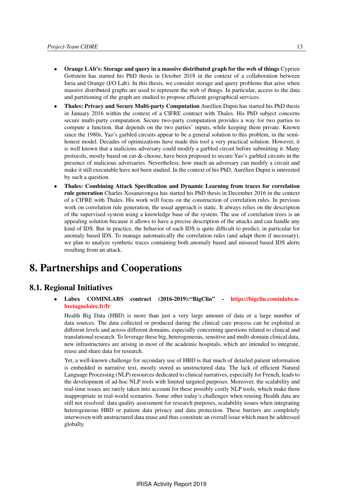- Orange LAb's: Storage and query in a massive distributed graph for the web of things Cyprien Gottstein has started his PhD thesis in October 2018 in the context of a collaboration between Inria and Orange (I/O Lab). In this thesis, we consider storage and query problems that arise when massive distributed graphs are used to represent the web of things. In particular, access to the data and partitioning of the graph are studied to propose efficient geographical services.
- Thales: Privacy and Secure Multi-party Computation Aurélien Dupin has started his PhD thesis in January 2016 within the context of a CIFRE contract with Thales. His PhD subject concerns secure multi-party computation. Secure two-party computation provides a way for two parties to compute a function, that depends on the two parties' inputs, while keeping them private. Known since the 1980s, Yao's garbled circuits appear to be a general solution to this problem, in the semihonest model. Decades of optimizations have made this tool a very practical solution. However, it is well known that a malicious adversary could modify a garbled circuit before submitting it. Many protocols, mostly based on cut-&-choose, have been proposed to secure Yao's garbled circuits in the presence of malicious adversaries. Nevertheless, how much an adversary can modify a circuit and make it still executable have not been studied. In the context of his PhD, Aurélien Dupin is interested by such a question.
- Thales: Combining Attack Specification and Dynamic Learning from traces for correlation rule generation Charles Xosanavongsa has started his PhD thesis in December 2016 in the context of a CIFRE with Thales. His work will focus on the construction of correlation rules. In previous work on correlation rule generation, the usual approach is static. It always relies on the description of the supervised system using a knowledge base of the system. The use of correlation trees is an appealing solution because it allows to have a precise description of the attacks and can handle any kind of IDS. But in practice, the behavior of each IDS is quite difficult to predict, in particular for anomaly based IDS. To manage automatically the correlation rules (and adapt them if necessary), we plan to analyze synthetic traces containing both anomaly based and misused based IDS alerts resulting from an attack.

# 8. Partnerships and Cooperations

# 8.1. Regional Initiatives

• Labex COMINLABS contract (2016-2019):"BigClin" - https://bigclin.cominlabs.ubretagneloire.fr/fr

Health Big Data (HBD) is more than just a very large amount of data or a large number of data sources. The data collected or produced during the clinical care process can be exploited at different levels and across different domains, especially concerning questions related to clinical and translational research. To leverage these big, heterogeneous, sensitive and multi-domain clinical data, new infrastructures are arising in most of the academic hospitals, which are intended to integrate, reuse and share data for research.

Yet, a well-known challenge for secondary use of HBD is that much of detailed patient information is embedded in narrative text, mostly stored as unstructured data. The lack of efficient Natural Language Processing (NLP) resources dedicated to clinical narratives, especially for French, leads to the development of ad-hoc NLP tools with limited targeted purposes. Moreover, the scalability and real-time issues are rarely taken into account for these possibly costly NLP tools, which make them inappropriate in real-world scenarios. Some other today's challenges when reusing Health data are still not resolved: data quality assessment for research purposes, scalability issues when integrating heterogeneous HBD or patient data privacy and data protection. These barriers are completely interwoven with unstructured data reuse and thus constitute an overall issue which must be addressed globally.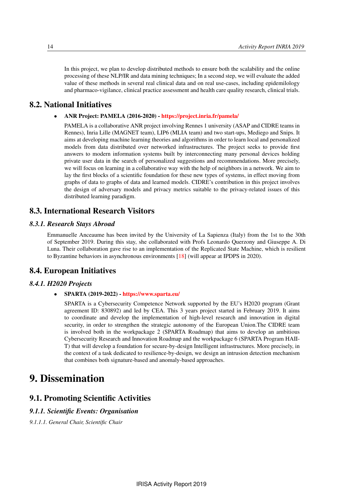In this project, we plan to develop distributed methods to ensure both the scalability and the online processing of these NLP/IR and data mining techniques; In a second step, we will evaluate the added value of these methods in several real clinical data and on real use-cases, including epidemilology and pharmaco-vigilance, clinical practice assessment and health care quality research, clinical trials.

### 8.2. National Initiatives

#### • ANR Project: PAMELA (2016-2020) - https://project.inria.fr/pamela/

PAMELA is a collaborative ANR project involving Rennes 1 university (ASAP and CIDRE teams in Rennes), Inria Lille (MAGNET team), LIP6 (MLIA team) and two start-ups, Mediego and Snips. It aims at developing machine learning theories and algorithms in order to learn local and personalized models from data distributed over networked infrastructures. The project seeks to provide first answers to modern information systems built by interconnecting many personal devices holding private user data in the search of personalized suggestions and recommendations. More precisely, we will focus on learning in a collaborative way with the help of neighbors in a network. We aim to lay the first blocks of a scientific foundation for these new types of systems, in effect moving from graphs of data to graphs of data and learned models. CIDRE's contribution in this project involves the design of adversary models and privacy metrics suitable to the privacy-related issues of this distributed learning paradigm.

### 8.3. International Research Visitors

### *8.3.1. Research Stays Abroad*

Emmanuelle Anceaume has been invited by the University of La Sapienza (Italy) from the 1st to the 30th of September 2019. During this stay, she collaborated with Profs Leonardo Querzony and Giuseppe A. Di Luna. Their collaboration gave rise to an implementation of the Replicated State Machine, which is resilient to Byzantine behaviors in asynchronous environments [18] (will appear at IPDPS in 2020).

### 8.4. European Initiatives

### *8.4.1. H2020 Projects*

#### • SPARTA (2019-2022) - https://www.sparta.eu/

SPARTA is a Cybersecurity Competence Network supported by the EU's H2020 program (Grant agreement ID: 830892) and led by CEA. This 3 years project started in February 2019. It aims to coordinate and develop the implementation of high-level research and innovation in digital security, in order to strengthen the strategic autonomy of the European Union.The CIDRE team is involved both in the workpackage 2 (SPARTA Roadmap) that aims to develop an ambitious Cybersecurity Research and Innovation Roadmap and the workpackage 6 (SPARTA Program HAII-T) that will develop a foundation for secure-by-design Intelligent infrastructures. More precisely, in the context of a task dedicated to resilience-by-design, we design an intrusion detection mechanism that combines both signature-based and anomaly-based approaches.

# 9. Dissemination

### 9.1. Promoting Scientific Activities

### *9.1.1. Scientific Events: Organisation*

*9.1.1.1. General Chair, Scientific Chair*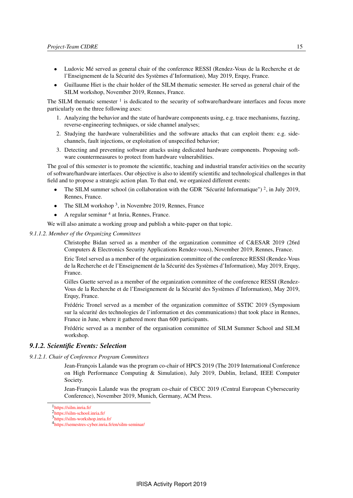- Ludovic Mé served as general chair of the conference RESSI (Rendez-Vous de la Recherche et de l'Enseignement de la Sécurité des Systèmes d'Information), May 2019, Erquy, France.
- Guillaume Hiet is the chair holder of the SILM thematic semester. He served as general chair of the SILM workshop, November 2019, Rennes, France.

The SILM thematic semester <sup>1</sup> is dedicated to the security of software/hardware interfaces and focus more particularly on the three following axes:

- 1. Analyzing the behavior and the state of hardware components using, e.g. trace mechanisms, fuzzing, reverse-engineering techniques, or side channel analyses;
- 2. Studying the hardware vulnerabilities and the software attacks that can exploit them: e.g. sidechannels, fault injections, or exploitation of unspecified behavior;
- 3. Detecting and preventing software attacks using dedicated hardware components. Proposing software countermeasures to protect from hardware vulnerabilities.

The goal of this semester is to promote the scientific, teaching and industrial transfer activities on the security of software/hardware interfaces. Our objective is also to identify scientific and technological challenges in that field and to propose a strategic action plan. To that end, we organized different events:

- The SILM summer school (in collaboration with the GDR "Sécurité Informatique")<sup>2</sup>, in July 2019, Rennes, France.
- The SILM workshop<sup>3</sup>, in Novembre 2019, Rennes, France
- A regular seminar  $4$  at Inria, Rennes, France.

We will also animate a working group and publish a white-paper on that topic.

#### *9.1.1.2. Member of the Organizing Committees*

Christophe Bidan served as a member of the organization committee of C&ESAR 2019 (26rd Computers & Electronics Security Applications Rendez-vous), November 2019, Rennes, France.

Eric Totel served as a member of the organization committee of the conference RESSI (Rendez-Vous de la Recherche et de l'Enseignement de la Sécurité des Systèmes d'Information), May 2019, Erquy, France.

Gilles Guette served as a member of the organization committee of the conference RESSI (Rendez-Vous de la Recherche et de l'Enseignement de la Sécurité des Systèmes d'Information), May 2019, Erquy, France.

Frédéric Tronel served as a member of the organization committee of SSTIC 2019 (Symposium sur la sécurité des technologies de l'information et des communications) that took place in Rennes, France in June, where it gathered more than 600 participants.

Frédéric served as a member of the organisation committee of SILM Summer School and SILM workshop.

### *9.1.2. Scientific Events: Selection*

*9.1.2.1. Chair of Conference Program Committees*

Jean-François Lalande was the program co-chair of HPCS 2019 (The 2019 International Conference on High Performance Computing & Simulation), July 2019, Dublin, Ireland, IEEE Computer Society.

Jean-François Lalande was the program co-chair of CECC 2019 (Central European Cybersecurity Conference), November 2019, Munich, Germany, ACM Press.

<sup>1</sup> https://silm.inria.fr/

<sup>&</sup>lt;sup>2</sup>https://silm-school.inria.fr/

<sup>3</sup> https://silm-workshop.inria.fr/

<sup>4</sup> https://semestres-cyber.inria.fr/en/silm-seminar/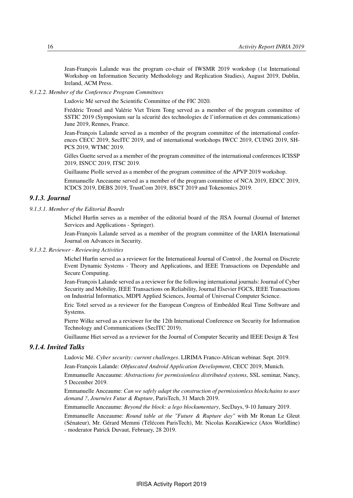Jean-François Lalande was the program co-chair of IWSMR 2019 workshop (1st International Workshop on Information Security Methodology and Replication Studies), August 2019, Dublin, Ireland, ACM Press.

### *9.1.2.2. Member of the Conference Program Committees*

Ludovic Mé served the Scientific Committee of the FIC 2020.

Frédéric Tronel and Valérie Viet Triem Tong served as a member of the program committee of SSTIC 2019 (Symposium sur la sécurité des technologies de l'information et des communications) June 2019, Rennes, France.

Jean-François Lalande served as a member of the program committee of the international conferences CECC 2019, SecITC 2019, and of international workshops IWCC 2019, CUING 2019, SH-PCS 2019, WTMC 2019.

Gilles Guette served as a member of the program committee of the international conferences ICISSP 2019, ISNCC 2019, ITSC 2019.

Guillaume Piolle served as a member of the program committee of the APVP 2019 workshop.

Emmanuelle Anceaume served as a member of the program committee of NCA 2019, EDCC 2019, ICDCS 2019, DEBS 2019, TrustCom 2019, BSCT 2019 and Tokenomics 2019.

### *9.1.3. Journal*

#### *9.1.3.1. Member of the Editorial Boards*

Michel Hurfin serves as a member of the editorial board of the JISA Journal (Journal of Internet Services and Applications - Springer).

Jean-François Lalande served as a member of the program committee of the IARIA International Journal on Advances in Security.

#### *9.1.3.2. Reviewer - Reviewing Activities*

Michel Hurfin served as a reviewer for the International Journal of Control , the Journal on Discrete Event Dynamic Systems - Theory and Applications, and IEEE Transactions on Dependable and Secure Computing.

Jean-François Lalande served as a reviewer for the following international journals: Journal of Cyber Security and Mobility, IEEE Transactions on Reliability, Journal Elsevier FGCS, IEEE Transactions on Industrial Informatics, MDPI Applied Sciences, Journal of Universal Computer Science.

Eric Totel served as a reviewer for the European Congress of Embedded Real Time Software and Systems.

Pierre Wilke served as a reviewer for the 12th International Conference on Security for Information Technology and Communications (SecITC 2019).

Guillaume Hiet served as a reviewer for the Journal of Computer Security and IEEE Design & Test

### *9.1.4. Invited Talks*

Ludovic Mé. *Cyber security: current challenges*. LIRIMA Franco-African webinar. Sept. 2019.

Jean-François Lalande: *Obfuscated Android Application Development*, CECC 2019, Munich.

Emmanuelle Anceaume: *Abstractions for permissionless distributed systems*, SSL seminar, Nancy, 5 December 2019.

Emmanuelle Anceaume: *Can we safely adapt the construction of permissionless blockchains to user demand ?*, *Journées Futur & Rupture*, ParisTech, 31 March 2019.

Emmanuelle Anceaume: *Beyond the block: a lego blockumentary*, SecDays, 9-10 January 2019.

Emmanuelle Anceaume: *Round table at the "Future & Rupture day"* with Mr Ronan Le Gleut (Sénateur), Mr. Gérard Memmi (Télécom ParisTech), Mr. Nicolas KozaKiewicz (Atos Worldline) - moderator Patrick Duvaut, February, 28 2019.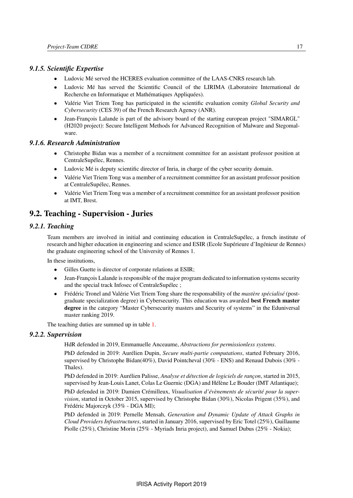### *9.1.5. Scientific Expertise*

- Ludovic Mé served the HCERES evaluation committee of the LAAS-CNRS research lab.
- Ludovic Mé has served the Scientific Council of the LIRIMA (Laboratoire International de Recherche en Informatique et Mathématiques Appliquées).
- Valérie Viet Triem Tong has participated in the scientific evaluation comity *Global Security and Cybersecurity* (CES 39) of the French Research Agency (ANR).
- Jean-François Lalande is part of the advisory board of the starting european project "SIMARGL" (H2020 project): Secure Intelligent Methods for Advanced Recognition of Malware and Stegomalware.

### *9.1.6. Research Administration*

- Christophe Bidan was a member of a recruitment committee for an assistant professor position at CentraleSupélec, Rennes.
- Ludovic Mé is deputy scientific director of Inria, in charge of the cyber security domain.
- Valérie Viet Triem Tong was a member of a recruitment committee for an assistant professor position at CentraleSupélec, Rennes.
- Valérie Viet Triem Tong was a member of a recruitment committee for an assistant professor position at IMT, Brest.

# 9.2. Teaching - Supervision - Juries

### *9.2.1. Teaching*

Team members are involved in initial and continuing education in CentraleSupélec, a french institute of research and higher education in engineering and science and ESIR (Ecole Supérieure d'Ingénieur de Rennes) the graduate engineering school of the University of Rennes 1.

In these institutions,

- Gilles Guette is director of corporate relations at ESIR;
- Jean-François Lalande is responsible of the major program dedicated to information systems security and the special track Infosec of CentraleSupélec ;
- Frédéric Tronel and Valérie Viet Triem Tong share the responsability of the *mastère spécialisé* (postgraduate specialization degree) in Cybersecurity. This education was awarded best French master degree in the category "Master Cybersecurity masters and Security of systems" in the Eduniversal master ranking 2019.

The teaching duties are summed up in table 1.

### *9.2.2. Supervision*

HdR defended in 2019, Emmanuelle Anceaume, *Abstractions for permissionless systems*.

PhD defended in 2019: Aurélien Dupin, *Secure multi-partie computations*, started February 2016, supervised by Christophe Bidan(40%), David Pointcheval (30% - ENS) and Renaud Dubois (30% - Thales).

PhD defended in 2019: Aurélien Palisse, *Analyse et détection de logiciels de rançon*, started in 2015, supervised by Jean-Louis Lanet, Colas Le Guernic (DGA) and Hélène Le Bouder (IMT Atlantique);

PhD defended in 2019: Damien Crémilleux, *Visualisation d'évènements de sécurité pour la supervision*, started in October 2015, supervised by Christophe Bidan (30%), Nicolas Prigent (35%), and Frédéric Majorczyk (35% - DGA MI);

PhD defended in 2019: Pernelle Mensah, *Generation and Dynamic Update of Attack Graphs in Cloud Providers Infrastructures*, started in January 2016, supervised by Eric Totel (25%), Guillaume Piolle (25%), Christine Morin (25% - Myriads Inria project), and Samuel Dubus (25% - Nokia);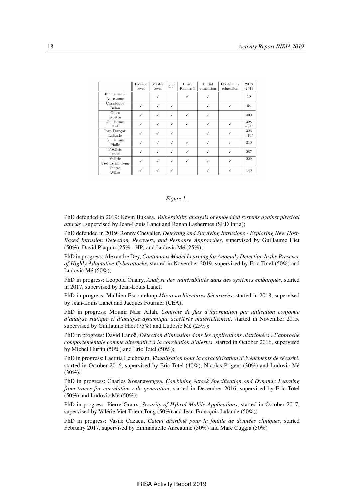|                            | Licence<br>level | Master<br>level | $CS^{\dagger}$ | Univ.<br>Rennes 1 | Initial<br>education | Continuing<br>education | 2018<br>$-2019$ |
|----------------------------|------------------|-----------------|----------------|-------------------|----------------------|-------------------------|-----------------|
| Emmanuelle<br>Anceaume     |                  | √               |                | √                 |                      |                         | 10              |
| Christophe<br>Bidan        | ✓                | ✓               | √              |                   | ✓                    | √                       | 64              |
| Gilles<br>Guette           | √                | ✓               | √              | √                 | ✓                    |                         | 400             |
| Guillaume<br>Hiet          | ✓                | ✓               | ✓              | √                 | ✓                    | ✓                       | 328<br>$+34*$   |
| Jean-François<br>Lalande   | $\checkmark$     | ✓               | √              |                   | √                    |                         | 326<br>$+70*$   |
| Guillaume<br>Piolle        | ✓                | ✓               | ✓              | ✓                 | ✓                    | √                       | 210             |
| Frédéric<br>Tronel         | √                | ✓               | $\checkmark$   | $\checkmark$      | √                    | √                       | 287             |
| Valérie<br>Viet Triem Tong | √                | ✓               | ✓              | ✓                 | ✓                    | ✓                       | 229             |
| Pierre<br>Wilke            | √                | √               | $\checkmark$   |                   |                      | √                       | 140             |

#### *Figure 1.*

PhD defended in 2019: Kevin Bukasa, *Vulnerability analysis of embedded systems against physical attacks* , supervised by Jean-Louis Lanet and Ronan Lashermes (SED Inria);

PhD defended in 2019: Ronny Chevalier, *Detecting and Surviving Intrusions - Exploring New Host-Based Intrusion Detection, Recovery, and Response Approaches*, supervised by Guillaume Hiet (50%), David Plaquin (25% - HP) and Ludovic Mé (25%);

PhD in progress: Alexandre Dey, *Continuous Model Learning for Anomaly Detection In the Presence of Highly Adaptative Cyberattacks*, started in November 2019, supervised by Eric Totel (50%) and Ludovic Mé (50%);

PhD in progress: Leopold Ouairy, *Analyse des vulnérabilités dans des systèmes embarqués*, started in 2017, supervised by Jean-Louis Lanet;

PhD in progress: Mathieu Escouteloup *Micro-architectures Sécurisées*, started in 2018, supervised by Jean-Louis Lanet and Jacques Fournier (CEA);

PhD in progress: Mounir Nasr Allah, *Contrôle de flux d'information par utilisation conjointe d'analyse statique et d'analyse dynamique accélérée matériellement*, started in November 2015, supervised by Guillaume Hiet (75%) and Ludovic Mé (25%);

PhD in progress: David Lanoë, *Détection d'intrusion dans les applications distribuées : l'approche comportementale comme alternative à la corrélation d'alertes*, started in October 2016, supervised by Michel Hurfin (50%) and Eric Totel (50%);

PhD in progress: Laetitia Leichtnam, *Visualisation pour la caractérisation d'événements de sécurité*, started in October 2016, supervised by Eric Totel (40%), Nicolas Prigent (30%) and Ludovic Mé (30%);

PhD in progress: Charles Xosanavongsa, *Combining Attack Specification and Dynamic Learning from traces for correlation rule generation*, started in December 2016, supervised by Eric Totel (50%) and Ludovic Mé (50%);

PhD in progress: Pierre Graux, *Security of Hybrid Mobile Applications*, started in October 2017, supervised by Valérie Viet Triem Tong (50%) and Jean-Francçois Lalande (50%);

PhD in progress: Vasile Cazacu, *Calcul distribué pour la fouille de données cliniques*, started February 2017, supervised by Emmanuelle Anceaume (50%) and Marc Cuggia (50%)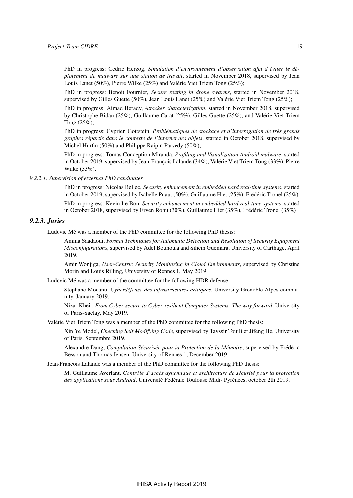PhD in progress: Cedric Herzog, *Simulation d'environnement d'observation afin d'éviter le déploiement de malware sur une station de travail*, started in November 2018, supervised by Jean Louis Lanet (50%), Pierre Wilke (25%) and Valérie Viet Triem Tong (25%);

PhD in progress: Benoit Fournier, *Secure routing in drone swarms*, started in November 2018, supervised by Gilles Guette (50%), Jean Louis Lanet (25%) and Valérie Viet Triem Tong (25%);

PhD in progress: Aimad Berady, *Attacker characterization*, started in November 2018, supervised by Christophe Bidan (25%), Guillaume Carat (25%), Gilles Guette (25%), and Valérie Viet Triem Tong (25%);

PhD in progress: Cyprien Gottstein, *Problématiques de stockage et d'interrogation de très grands graphes répartis dans le contexte de l'internet des objets*, started in October 2018, supervised by Michel Hurfin (50%) and Philippe Raipin Parvedy (50%);

PhD in progress: Tomas Conception Miranda, *Profiling and Visualization Android malware*, started in October 2019, supervised by Jean-François Lalande (34%), Valérie Viet Triem Tong (33%), Pierre Wilke (33%).

*9.2.2.1. Supervision of external PhD candidates*

PhD in progress: Nicolas Bellec, *Security enhancement in embedded hard real-time systems*, started in October 2019, supervised by Isabelle Puaut (50%), Guillaume Hiet (25%), Frédéric Tronel (25%)

PhD in progress: Kevin Le Bon, *Security enhancement in embedded hard real-time systems*, started in October 2018, supervised by Erven Rohu (30%), Guillaume Hiet (35%), Frédéric Tronel (35%)

### *9.2.3. Juries*

Ludovic Mé was a member of the PhD committee for the following PhD thesis:

Amina Saadaoui, *Formal Techniques for Automatic Detection and Resolution of Security Equipment Misconfigurations*, supervised by Adel Bouhoula and Sihem Guemara, University of Carthage, April 2019.

Amir Wonjiga, *User-Centric Security Monitoring in Cloud Environments*, supervised by Christine Morin and Louis Rilling, University of Rennes 1, May 2019.

Ludovic Mé was a member of the committee for the following HDR defense:

Stephane Mocanu, *Cyberdéfense des infrastructures critiques*, University Grenoble Alpes community, January 2019.

Nizar Kheir, *From Cyber-secure to Cyber-resilient Computer Systems: The way forward*, University of Paris-Saclay, May 2019.

Valérie Viet Triem Tong was a member of the PhD committee for the following PhD thesis:

Xin Ye Model, *Checking Self Modifying Code*, supervised by Tayssir Touili et Jifeng He, University of Paris, Septembre 2019.

Alexandre Dang, *Compilation Sécurisée pour la Protection de la Mémoire*, supervised by Frédéric Besson and Thomas Jensen, University of Rennes 1, December 2019.

Jean-François Lalande was a member of the PhD committee for the following PhD thesis:

M. Guillaume Averlant, *Contrôle d'accès dynamique et architecture de sécurité pour la protection des applications sous Android*, Université Fédérale Toulouse Midi- Pyrénées, october 2th 2019.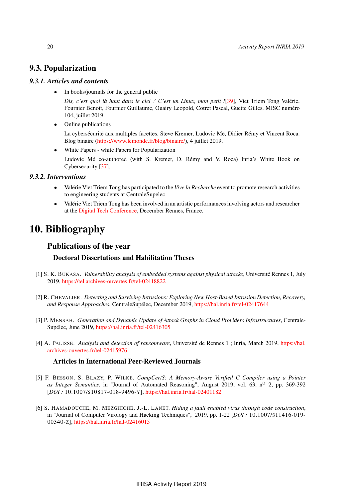# 9.3. Popularization

### *9.3.1. Articles and contents*

• In books/journals for the general public

*Dis, c'est quoi là haut dans le ciel ? C'est un Linux, mon petit !*[39], Viet Triem Tong Valérie, Fournier Benoît, Fournier Guillaume, Ouairy Leopold, Cotret Pascal, Guette Gilles, MISC numéro 104, juillet 2019.

• Online publications

La cybersécurité aux multiples facettes. Steve Kremer, Ludovic Mé, Didier Rémy et Vincent Roca. Blog binaire (https://www.lemonde.fr/blog/binaire/), 4 juillet 2019.

• White Papers - white Papers for Popularization

Ludovic Mé co-authored (with S. Kremer, D. Rémy and V. Roca) Inria's White Book on Cybersecurity [37].

### *9.3.2. Interventions*

- Valérie Viet Triem Tong has participated to the *Vive la Recherche* event to promote research activities to engineering students at CentraleSupelec
- Valérie Viet Triem Tong has been involved in an artistic performances involving actors and researcher at the Digital Tech Conference, December Rennes, France.

# 10. Bibliography

# Publications of the year

### Doctoral Dissertations and Habilitation Theses

- [1] S. K. BUKASA. *Vulnerability analysis of embedded systems against physical attacks*, Université Rennes 1, July 2019, https://tel.archives-ouvertes.fr/tel-02418822
- [2] R. CHEVALIER. *Detecting and Surviving Intrusions: Exploring New Host-Based Intrusion Detection, Recovery, and Response Approaches*, CentraleSupélec, December 2019, https://hal.inria.fr/tel-02417644
- [3] P. MENSAH. *Generation and Dynamic Update of Attack Graphs in Cloud Providers Infrastructures*, Centrale-Supélec, June 2019, https://hal.inria.fr/tel-02416305
- [4] A. PALISSE. *Analysis and detection of ransomware*, Université de Rennes 1 ; Inria, March 2019, https://hal. archives-ouvertes.fr/tel-02415976

### Articles in International Peer-Reviewed Journals

- [5] F. BESSON, S. BLAZY, P. WILKE. *CompCertS: A Memory-Aware Verified C Compiler using a Pointer as Integer Semantics*, in "Journal of Automated Reasoning", August 2019, vol. 63, n<sup>o</sup> 2, pp. 369-392 [*DOI :* 10.1007/S10817-018-9496-Y], https://hal.inria.fr/hal-02401182
- [6] S. HAMADOUCHE, M. MEZGHICHE, J.-L. LANET. *Hiding a fault enabled virus through code construction*, in "Journal of Computer Virology and Hacking Techniques", 2019, pp. 1-22 [*DOI :* 10.1007/S11416-019- 00340-Z], https://hal.inria.fr/hal-02416015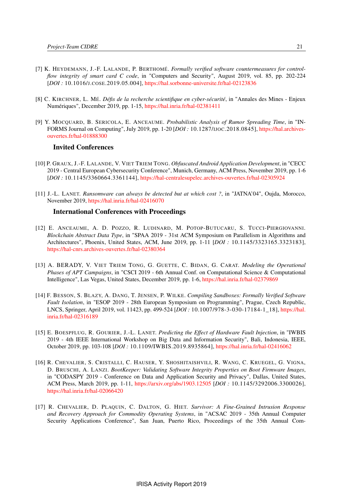- [7] K. HEYDEMANN, J.-F. LALANDE, P. BERTHOMÉ. *Formally verified software countermeasures for controlflow integrity of smart card C code*, in "Computers and Security", August 2019, vol. 85, pp. 202-224 [*DOI :* 10.1016/J.COSE.2019.05.004], https://hal.sorbonne-universite.fr/hal-02123836
- [8] C. KIRCHNER, L. MÉ. *Défis de la recherche scientifique en cyber-sécurité*, in "Annales des Mines Enjeux Numériques", December 2019, pp. 1-15, https://hal.inria.fr/hal-02381411
- [9] Y. MOCQUARD, B. SERICOLA, E. ANCEAUME. *Probabilistic Analysis of Rumor Spreading Time*, in "IN-FORMS Journal on Computing", July 2019, pp. 1-20 [*DOI :* 10.1287/IJOC.2018.0845], https://hal.archivesouvertes.fr/hal-01888300

### Invited Conferences

- [10] P. GRAUX, J.-F. LALANDE, V. VIET TRIEM TONG. *Obfuscated Android Application Development*, in "CECC 2019 - Central European Cybersecurity Conference", Munich, Germany, ACM Press, November 2019, pp. 1-6 [*DOI*: 10.1145/3360664.3361144], https://hal-centralesupelec.archives-ouvertes.fr/hal-02305924
- [11] J.-L. LANET. *Ransomware can always be detected but at which cost ?*, in "JATNA'04", Oujda, Morocco, November 2019, https://hal.inria.fr/hal-02416070

### International Conferences with Proceedings

- [12] E. ANCEAUME, A. D. POZZO, R. LUDINARD, M. POTOP-BUTUCARU, S. TUCCI-PIERGIOVANNI. *Blockchain Abstract Data Type*, in "SPAA 2019 - 31st ACM Symposium on Parallelism in Algorithms and Architectures", Phoenix, United States, ACM, June 2019, pp. 1-11 [*DOI :* 10.1145/3323165.3323183], https://hal-cnrs.archives-ouvertes.fr/hal-02380364
- [13] A. BERADY, V. VIET TRIEM TONG, G. GUETTE, C. BIDAN, G. CARAT. *Modeling the Operational Phases of APT Campaigns*, in "CSCI 2019 - 6th Annual Conf. on Computational Science & Computational Intelligence", Las Vegas, United States, December 2019, pp. 1-6, https://hal.inria.fr/hal-02379869
- [14] F. BESSON, S. BLAZY, A. DANG, T. JENSEN, P. WILKE. *Compiling Sandboxes: Formally Verified Software Fault Isolation*, in "ESOP 2019 - 28th European Symposium on Programming", Prague, Czech Republic, LNCS, Springer, April 2019, vol. 11423, pp. 499-524 [*DOI :* 10.1007/978-3-030-17184-1\_18], https://hal. inria.fr/hal-02316189
- [15] E. BOESPFLUG, R. GOURIER, J.-L. LANET. *Predicting the Effect of Hardware Fault Injection*, in "IWBIS 2019 - 4th IEEE International Workshop on Big Data and Information Security", Bali, Indonesia, IEEE, October 2019, pp. 103-108 [*DOI :* 10.1109/IWBIS.2019.8935864], https://hal.inria.fr/hal-02416062
- [16] R. CHEVALIER, S. CRISTALLI, C. HAUSER, Y. SHOSHITAISHVILI, R. WANG, C. KRUEGEL, G. VIGNA, D. BRUSCHI, A. LANZI. *BootKeeper: Validating Software Integrity Properties on Boot Firmware Images*, in "CODASPY 2019 - Conference on Data and Application Security and Privacy", Dallas, United States, ACM Press, March 2019, pp. 1-11, https://arxiv.org/abs/1903.12505 [*DOI :* 10.1145/3292006.3300026], https://hal.inria.fr/hal-02066420
- [17] R. CHEVALIER, D. PLAQUIN, C. DALTON, G. HIET. *Survivor: A Fine-Grained Intrusion Response and Recovery Approach for Commodity Operating Systems*, in "ACSAC 2019 - 35th Annual Computer Security Applications Conference", San Juan, Puerto Rico, Proceedings of the 35th Annual Com-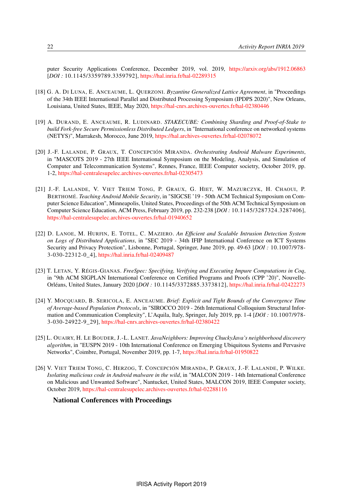puter Security Applications Conference, December 2019, vol. 2019, https://arxiv.org/abs/1912.06863 [*DOI :* 10.1145/3359789.3359792], https://hal.inria.fr/hal-02289315

- [18] G. A. DI LUNA, E. ANCEAUME, L. QUERZONI. *Byzantine Generalized Lattice Agreement*, in "Proceedings of the 34th IEEE International Parallel and Distributed Processing Symposium (IPDPS 2020)", New Orleans, Louisiana, United States, IEEE, May 2020, https://hal-cnrs.archives-ouvertes.fr/hal-02380446
- [19] A. DURAND, E. ANCEAUME, R. LUDINARD. *STAKECUBE: Combining Sharding and Proof-of-Stake to build Fork-free Secure Permissionless Distributed Ledgers*, in "International conference on networked systems (NETYS)", Marrakesh, Morocco, June 2019, https://hal.archives-ouvertes.fr/hal-02078072
- [20] J.-F. LALANDE, P. GRAUX, T. CONCEPCIÓN MIRANDA. *Orchestrating Android Malware Experiments*, in "MASCOTS 2019 - 27th IEEE International Symposium on the Modeling, Analysis, and Simulation of Computer and Telecommunication Systems", Rennes, France, IEEE Computer societry, October 2019, pp. 1-2, https://hal-centralesupelec.archives-ouvertes.fr/hal-02305473
- [21] J.-F. LALANDE, V. VIET TRIEM TONG, P. GRAUX, G. HIET, W. MAZURCZYK, H. CHAOUI, P. BERTHOMÉ. *Teaching Android Mobile Security*, in "SIGCSE '19 - 50th ACM Technical Symposium on Computer Science Education", Minneapolis, United States, Proceedings of the 50th ACM Technical Symposium on Computer Science Education, ACM Press, February 2019, pp. 232-238 [*DOI :* 10.1145/3287324.3287406], https://hal-centralesupelec.archives-ouvertes.fr/hal-01940652
- [22] D. LANOE, M. HURFIN, E. TOTEL, C. MAZIERO. *An Efficient and Scalable Intrusion Detection System on Logs of Distributed Applications*, in "SEC 2019 - 34th IFIP International Conference on ICT Systems Security and Privacy Protection", Lisbonne, Portugal, Springer, June 2019, pp. 49-63 [*DOI :* 10.1007/978- 3-030-22312-0\_4], https://hal.inria.fr/hal-02409487
- [23] T. LETAN, Y. RÉGIS-GIANAS. *FreeSpec: Specifying, Verifying and Executing Impure Computations in Coq*, in "9th ACM SIGPLAN International Conference on Certified Programs and Proofs (CPP '20)", Nouvelle-Orléans, United States, January 2020 [*DOI :* 10.1145/3372885.3373812], https://hal.inria.fr/hal-02422273
- [24] Y. MOCQUARD, B. SERICOLA, E. ANCEAUME. *Brief: Explicit and Tight Bounds of the Convergence Time of Average-based Population Protocols*, in "SIROCCO 2019 - 26th International Colloquium Structural Information and Communication Complexity", L'Aquila, Italy, Springer, July 2019, pp. 1-4 [*DOI :* 10.1007/978- 3-030-24922-9\_29], https://hal-cnrs.archives-ouvertes.fr/hal-02380422
- [25] L. OUAIRY, H. LE BOUDER, J.-L. LANET. *JavaNeighbors: Improving ChuckyJava's neighborhood discovery algorithm*, in "EUSPN 2019 - 10th International Conference on Emerging Ubiquitous Systems and Pervasive Networks", Coimbre, Portugal, November 2019, pp. 1-7, https://hal.inria.fr/hal-01950822
- [26] V. VIET TRIEM TONG, C. HERZOG, T. CONCEPCIÓN MIRANDA, P. GRAUX, J.-F. LALANDE, P. WILKE. *Isolating malicious code in Android malware in the wild*, in "MALCON 2019 - 14th International Conference on Malicious and Unwanted Software", Nantucket, United States, MALCON 2019, IEEE Computer society, October 2019, https://hal-centralesupelec.archives-ouvertes.fr/hal-02288116

### National Conferences with Proceedings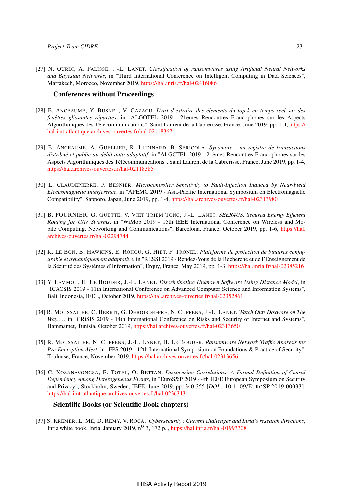[27] N. OURDI, A. PALISSE, J.-L. LANET. *Classification of ransomwares using Artificial Neural Networks and Bayesian Networks*, in "Third International Conference on Intelligent Computing in Data Sciences", Marrakech, Morocco, November 2019, https://hal.inria.fr/hal-02416086

### Conferences without Proceedings

- [28] E. ANCEAUME, Y. BUSNEL, V. CAZACU. *L'art d'extraire des éléments du top-k en temps réel sur des fenêtres glissantes réparties*, in "ALGOTEL 2019 - 21èmes Rencontres Francophones sur les Aspects Algorithmiques des Télécommunications", Saint Laurent de la Cabrerisse, France, June 2019, pp. 1-4, https:// hal-imt-atlantique.archives-ouvertes.fr/hal-02118367
- [29] E. ANCEAUME, A. GUELLIER, R. LUDINARD, B. SERICOLA. *Sycomore : un registre de transactions distribué et public au débit auto-adaptatif*, in "ALGOTEL 2019 - 21èmes Rencontres Francophones sur les Aspects Algorithmiques des Télécommunications", Saint Laurent de la Cabrerisse, France, June 2019, pp. 1-4, https://hal.archives-ouvertes.fr/hal-02118385
- [30] L. CLAUDEPIERRE, P. BESNIER. *Microcontroller Sensitivity to Fault-Injection Induced by Near-Field Electromagnetic Interference*, in "APEMC 2019 - Asia-Pacific International Symposium on Electromagnetic Compatibility", Sapporo, Japan, June 2019, pp. 1-4, https://hal.archives-ouvertes.fr/hal-02313980
- [31] B. FOURNIER, G. GUETTE, V. VIET TRIEM TONG, J.-L. LANET. *SEER4US, Secured Energy Efficient Routing for UAV Swarms*, in "WiMob 2019 - 15th IEEE International Conference on Wireless and Mobile Computing, Networking and Communications", Barcelona, France, October 2019, pp. 1-6, https://hal. archives-ouvertes.fr/hal-02294744
- [32] K. LE BON, B. HAWKINS, E. ROHOU, G. HIET, F. TRONEL. *Plateforme de protection de binaires configurable et dynamiquement adaptative*, in "RESSI 2019 - Rendez-Vous de la Recherche et de l'Enseignement de la Sécurité des Systèmes d'Information", Erquy, France, May 2019, pp. 1-3, https://hal.inria.fr/hal-02385216
- [33] Y. LEMMOU, H. LE BOUDER, J.-L. LANET. *Discriminating Unknown Software Using Distance Model*, in "ICACSIS 2019 - 11th International Conference on Advanced Computer Science and Information Systems", Bali, Indonesia, IEEE, October 2019, https://hal.archives-ouvertes.fr/hal-02352861
- [34] R. MOUSSAILEB, C. BERRTI, G. DEBOISDEFFRE, N. CUPPENS, J.-L. LANET. *Watch Out! Doxware on The Way...*, in "CRiSIS 2019 - 14th International Conference on Risks and Security of Internet and Systems", Hammamet, Tunisia, October 2019, https://hal.archives-ouvertes.fr/hal-02313650
- [35] R. MOUSSAILEB, N. CUPPENS, J.-L. LANET, H. LE BOUDER. *Ransomware Network Traffic Analysis for Pre-Encryption Alert*, in "FPS 2019 - 12th International Symposium on Foundations & Practice of Security", Toulouse, France, November 2019, https://hal.archives-ouvertes.fr/hal-02313656
- [36] C. XOSANAVONGSA, E. TOTEL, O. BETTAN. *Discovering Correlations: A Formal Definition of Causal Dependency Among Heterogeneous Events*, in "EuroS&P 2019 - 4th IEEE European Symposium on Security and Privacy", Stockholm, Sweden, IEEE, June 2019, pp. 340-355 [*DOI :* 10.1109/EUROSP.2019.00033], https://hal-imt-atlantique.archives-ouvertes.fr/hal-02363431

### Scientific Books (or Scientific Book chapters)

[37] S. KREMER, L. MÉ, D. RÉMY, V. ROCA. *Cybersecurity : Current challenges and Inria's research directions*, Inria white book, Inria, January 2019, n<sup>o</sup> 3, 172 p., https://hal.inria.fr/hal-01993308